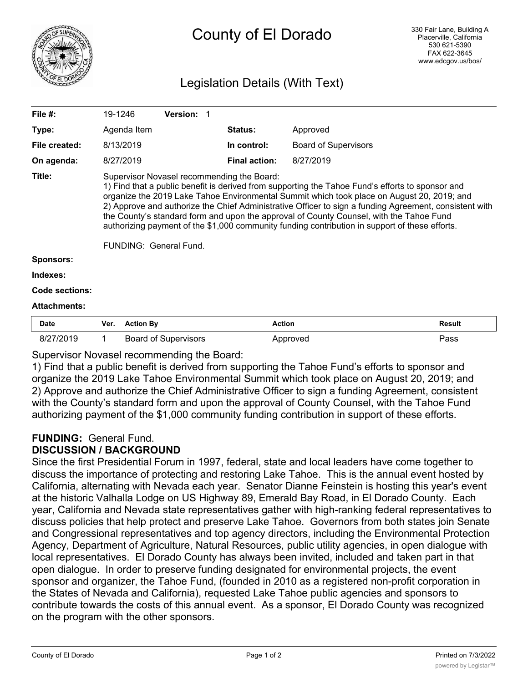

# County of El Dorado

## Legislation Details (With Text)

| File $#$ :          | 19-1246                                                                                                                                                                                                                                                                                                                                                                                                                                                                                                                                                                       | <b>Version: 1</b> |                      |                             |               |  |  |
|---------------------|-------------------------------------------------------------------------------------------------------------------------------------------------------------------------------------------------------------------------------------------------------------------------------------------------------------------------------------------------------------------------------------------------------------------------------------------------------------------------------------------------------------------------------------------------------------------------------|-------------------|----------------------|-----------------------------|---------------|--|--|
| Type:               | Agenda Item                                                                                                                                                                                                                                                                                                                                                                                                                                                                                                                                                                   |                   | <b>Status:</b>       | Approved                    |               |  |  |
| File created:       | 8/13/2019                                                                                                                                                                                                                                                                                                                                                                                                                                                                                                                                                                     |                   | In control:          | <b>Board of Supervisors</b> |               |  |  |
| On agenda:          | 8/27/2019                                                                                                                                                                                                                                                                                                                                                                                                                                                                                                                                                                     |                   | <b>Final action:</b> | 8/27/2019                   |               |  |  |
| Title:              | Supervisor Novasel recommending the Board:<br>1) Find that a public benefit is derived from supporting the Tahoe Fund's efforts to sponsor and<br>organize the 2019 Lake Tahoe Environmental Summit which took place on August 20, 2019; and<br>2) Approve and authorize the Chief Administrative Officer to sign a funding Agreement, consistent with<br>the County's standard form and upon the approval of County Counsel, with the Tahoe Fund<br>authorizing payment of the \$1,000 community funding contribution in support of these efforts.<br>FUNDING: General Fund. |                   |                      |                             |               |  |  |
| <b>Sponsors:</b>    |                                                                                                                                                                                                                                                                                                                                                                                                                                                                                                                                                                               |                   |                      |                             |               |  |  |
| Indexes:            |                                                                                                                                                                                                                                                                                                                                                                                                                                                                                                                                                                               |                   |                      |                             |               |  |  |
| Code sections:      |                                                                                                                                                                                                                                                                                                                                                                                                                                                                                                                                                                               |                   |                      |                             |               |  |  |
| <b>Attachments:</b> |                                                                                                                                                                                                                                                                                                                                                                                                                                                                                                                                                                               |                   |                      |                             |               |  |  |
| <b>Date</b>         | Ver.<br><b>Action By</b>                                                                                                                                                                                                                                                                                                                                                                                                                                                                                                                                                      |                   | <b>Action</b>        |                             | <b>Result</b> |  |  |

| Dale      | <b>VEI.</b> ACUUILDY        | ALUUT    | resuit |
|-----------|-----------------------------|----------|--------|
| 8/27/2019 | <b>Board of Supervisors</b> | Approved | Pass   |

#### Supervisor Novasel recommending the Board:

1) Find that a public benefit is derived from supporting the Tahoe Fund's efforts to sponsor and organize the 2019 Lake Tahoe Environmental Summit which took place on August 20, 2019; and 2) Approve and authorize the Chief Administrative Officer to sign a funding Agreement, consistent with the County's standard form and upon the approval of County Counsel, with the Tahoe Fund authorizing payment of the \$1,000 community funding contribution in support of these efforts.

## **FUNDING:** General Fund.

### **DISCUSSION / BACKGROUND**

Since the first Presidential Forum in 1997, federal, state and local leaders have come together to discuss the importance of protecting and restoring Lake Tahoe. This is the annual event hosted by California, alternating with Nevada each year. Senator Dianne Feinstein is hosting this year's event at the historic Valhalla Lodge on US Highway 89, Emerald Bay Road, in El Dorado County. Each year, California and Nevada state representatives gather with high-ranking federal representatives to discuss policies that help protect and preserve Lake Tahoe. Governors from both states join Senate and Congressional representatives and top agency directors, including the Environmental Protection Agency, Department of Agriculture, Natural Resources, public utility agencies, in open dialogue with local representatives. El Dorado County has always been invited, included and taken part in that open dialogue. In order to preserve funding designated for environmental projects, the event sponsor and organizer, the Tahoe Fund, (founded in 2010 as a registered non-profit corporation in the States of Nevada and California), requested Lake Tahoe public agencies and sponsors to contribute towards the costs of this annual event. As a sponsor, El Dorado County was recognized on the program with the other sponsors.